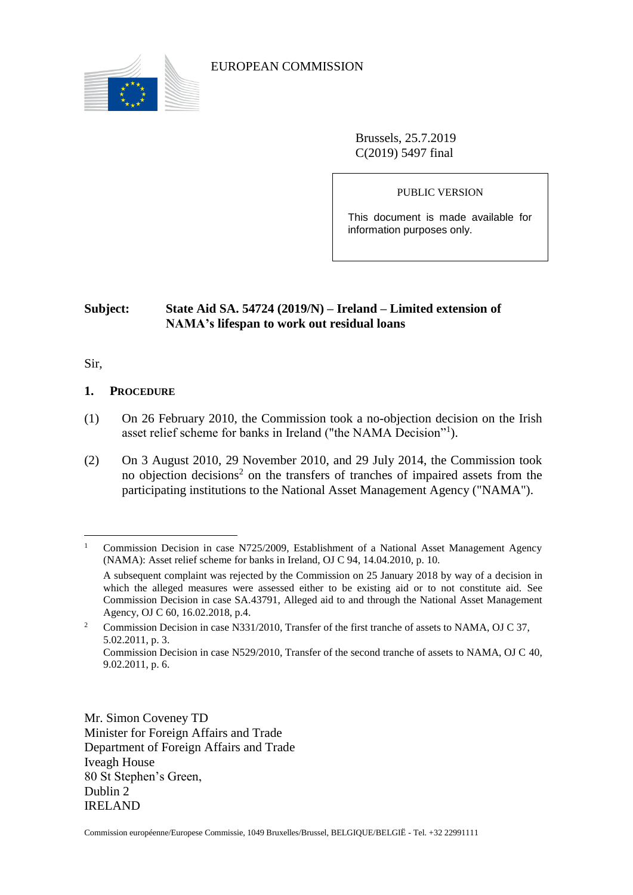

EUROPEAN COMMISSION

Brussels, 25.7.2019 C(2019) 5497 final

PUBLIC VERSION

This document is made available for information purposes only.

# **Subject: State Aid SA. 54724 (2019/N) – Ireland – Limited extension of NAMA's lifespan to work out residual loans**

Sir,

 $\overline{a}$ 

## **1. PROCEDURE**

- (1) On 26 February 2010, the Commission took a no-objection decision on the Irish asset relief scheme for banks in Ireland ("the NAMA Decision"<sup>1</sup>).
- (2) On 3 August 2010, 29 November 2010, and 29 July 2014, the Commission took no objection decisions<sup>2</sup> on the transfers of tranches of impaired assets from the participating institutions to the National Asset Management Agency ("NAMA").

Mr. Simon Coveney TD Minister for Foreign Affairs and Trade Department of Foreign Affairs and Trade Iveagh House 80 St Stephen's Green, Dublin 2 IRELAND

<sup>&</sup>lt;sup>1</sup> Commission Decision in case N725/2009, Establishment of a National Asset Management Agency (NAMA): Asset relief scheme for banks in Ireland, OJ C 94, 14.04.2010, p. 10.

A subsequent complaint was rejected by the Commission on 25 January 2018 by way of a decision in which the alleged measures were assessed either to be existing aid or to not constitute aid. See Commission Decision in case SA.43791, Alleged aid to and through the National Asset Management Agency, OJ C 60, 16.02.2018, p.4.

<sup>&</sup>lt;sup>2</sup> Commission Decision in case N331/2010, Transfer of the first tranche of assets to NAMA, OJ C 37, 5.02.2011, p. 3.

Commission Decision in case N529/2010, Transfer of the second tranche of assets to NAMA, OJ C 40, 9.02.2011, p. 6.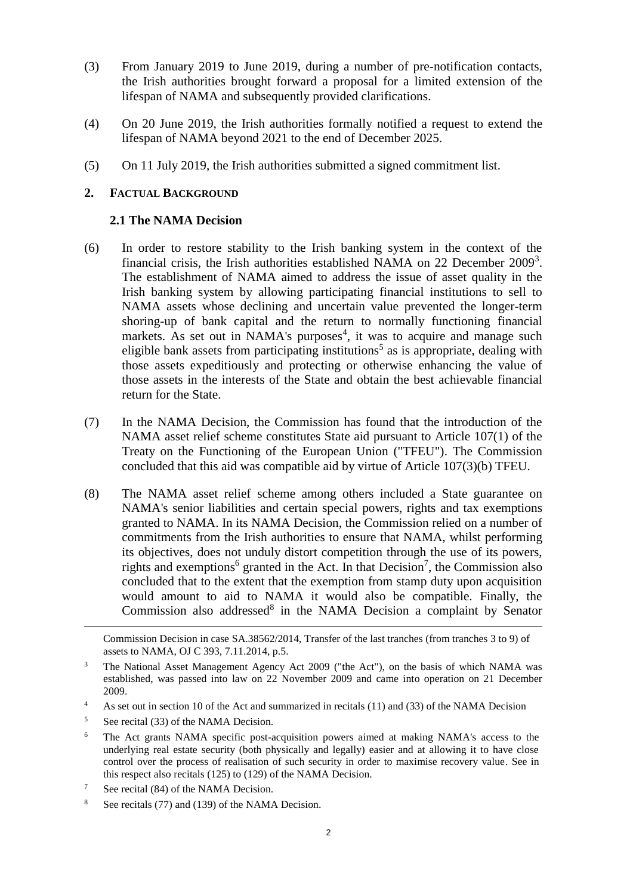- (3) From January 2019 to June 2019, during a number of pre-notification contacts, the Irish authorities brought forward a proposal for a limited extension of the lifespan of NAMA and subsequently provided clarifications.
- (4) On 20 June 2019, the Irish authorities formally notified a request to extend the lifespan of NAMA beyond 2021 to the end of December 2025.
- (5) On 11 July 2019, the Irish authorities submitted a signed commitment list.

## **2. FACTUAL BACKGROUND**

## **2.1 The NAMA Decision**

- <span id="page-1-0"></span>(6) In order to restore stability to the Irish banking system in the context of the financial crisis, the Irish authorities established NAMA on 22 December 2009<sup>3</sup>. The establishment of NAMA aimed to address the issue of asset quality in the Irish banking system by allowing participating financial institutions to sell to NAMA assets whose declining and uncertain value prevented the longer-term shoring-up of bank capital and the return to normally functioning financial markets. As set out in NAMA's purposes<sup>4</sup>, it was to acquire and manage such eligible bank assets from participating institutions<sup>5</sup> as is appropriate, dealing with those assets expeditiously and protecting or otherwise enhancing the value of those assets in the interests of the State and obtain the best achievable financial return for the State.
- (7) In the NAMA Decision, the Commission has found that the introduction of the NAMA asset relief scheme constitutes State aid pursuant to Article 107(1) of the Treaty on the Functioning of the European Union ("TFEU"). The Commission concluded that this aid was compatible aid by virtue of Article 107(3)(b) TFEU.
- <span id="page-1-1"></span>(8) The NAMA asset relief scheme among others included a State guarantee on NAMA's senior liabilities and certain special powers, rights and tax exemptions granted to NAMA. In its NAMA Decision, the Commission relied on a number of commitments from the Irish authorities to ensure that NAMA, whilst performing its objectives, does not unduly distort competition through the use of its powers, rights and exemptions<sup>6</sup> granted in the Act. In that Decision<sup>7</sup>, the Commission also concluded that to the extent that the exemption from stamp duty upon acquisition would amount to aid to NAMA it would also be compatible. Finally, the Commission also addressed $8$  in the NAMA Decision a complaint by Senator

<sup>4</sup> As set out in section 10 of the Act and summarized in recitals (11) and (33) of the NAMA Decision

- <sup>6</sup> The Act grants NAMA specific post-acquisition powers aimed at making NAMA's access to the underlying real estate security (both physically and legally) easier and at allowing it to have close control over the process of realisation of such security in order to maximise recovery value. See in this respect also recitals (125) to (129) of the NAMA Decision.
- <sup>7</sup> See recital (84) of the NAMA Decision.
- <sup>8</sup> See recitals (77) and (139) of the NAMA Decision.

Commission Decision in case SA.38562/2014, Transfer of the last tranches (from tranches 3 to 9) of assets to NAMA, OJ C 393, 7.11.2014, p.5.

<sup>&</sup>lt;sup>3</sup> The National Asset Management Agency Act 2009 ("the Act"), on the basis of which NAMA was established, was passed into law on 22 November 2009 and came into operation on 21 December 2009.

 $5$  See recital (33) of the NAMA Decision.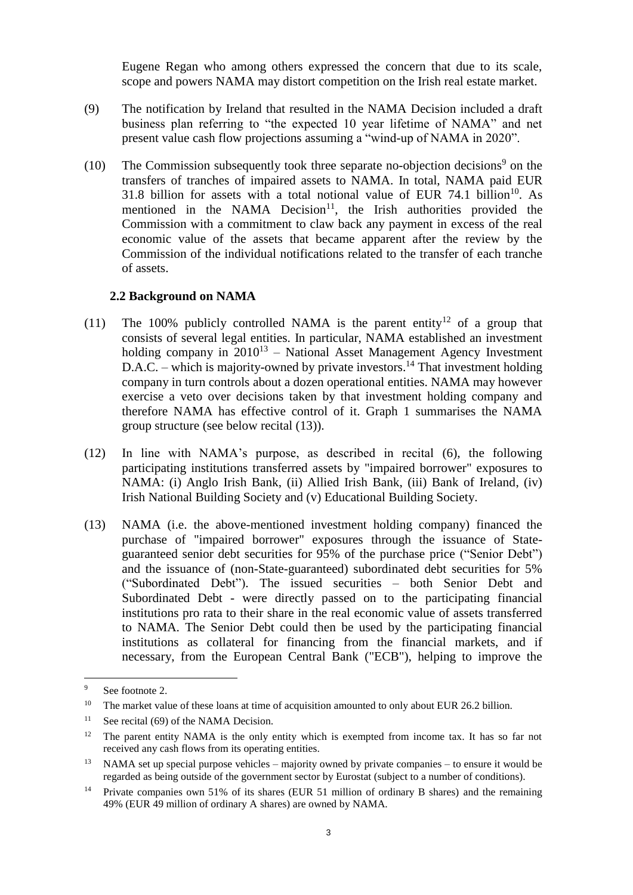Eugene Regan who among others expressed the concern that due to its scale, scope and powers NAMA may distort competition on the Irish real estate market.

- <span id="page-2-2"></span>(9) The notification by Ireland that resulted in the NAMA Decision included a draft business plan referring to "the expected 10 year lifetime of NAMA" and net present value cash flow projections assuming a "wind-up of NAMA in 2020".
- (10) The Commission subsequently took three separate no-objection decisions<sup>9</sup> on the transfers of tranches of impaired assets to NAMA. In total, NAMA paid EUR 31.8 billion for assets with a total notional value of EUR  $74.1$  billion<sup>10</sup>. As mentioned in the NAMA Decision<sup>11</sup>, the Irish authorities provided the Commission with a commitment to claw back any payment in excess of the real economic value of the assets that became apparent after the review by the Commission of the individual notifications related to the transfer of each tranche of assets.

### <span id="page-2-1"></span>**2.2 Background on NAMA**

- (11) The 100% publicly controlled NAMA is the parent entity<sup>12</sup> of a group that consists of several legal entities. In particular, NAMA established an investment holding company in  $2010^{13}$  – National Asset Management Agency Investment D.A.C. – which is majority-owned by private investors.<sup>14</sup> That investment holding company in turn controls about a dozen operational entities. NAMA may however exercise a veto over decisions taken by that investment holding company and therefore NAMA has effective control of it. Graph 1 summarises the NAMA group structure (see below recital [\(13\)\)](#page-2-0).
- (12) In line with NAMA's purpose, as described in recital [\(6\),](#page-1-0) the following participating institutions transferred assets by "impaired borrower" exposures to NAMA: (i) Anglo Irish Bank, (ii) Allied Irish Bank, (iii) Bank of Ireland, (iv) Irish National Building Society and (v) Educational Building Society.
- <span id="page-2-0"></span>(13) NAMA (i.e. the above-mentioned investment holding company) financed the purchase of "impaired borrower" exposures through the issuance of Stateguaranteed senior debt securities for 95% of the purchase price ("Senior Debt") and the issuance of (non-State-guaranteed) subordinated debt securities for 5% ("Subordinated Debt"). The issued securities – both Senior Debt and Subordinated Debt - were directly passed on to the participating financial institutions pro rata to their share in the real economic value of assets transferred to NAMA. The Senior Debt could then be used by the participating financial institutions as collateral for financing from the financial markets, and if necessary, from the European Central Bank ("ECB"), helping to improve the

<sup>&</sup>lt;sup>9</sup> See footnote 2.

<sup>&</sup>lt;sup>10</sup> The market value of these loans at time of acquisition amounted to only about EUR 26.2 billion.

<sup>&</sup>lt;sup>11</sup> See recital (69) of the NAMA Decision.

 $12$  The parent entity NAMA is the only entity which is exempted from income tax. It has so far not received any cash flows from its operating entities.

<sup>&</sup>lt;sup>13</sup> NAMA set up special purpose vehicles – majority owned by private companies – to ensure it would be regarded as being outside of the government sector by Eurostat (subject to a number of conditions).

<sup>&</sup>lt;sup>14</sup> Private companies own 51% of its shares (EUR 51 million of ordinary B shares) and the remaining 49% (EUR 49 million of ordinary A shares) are owned by NAMA.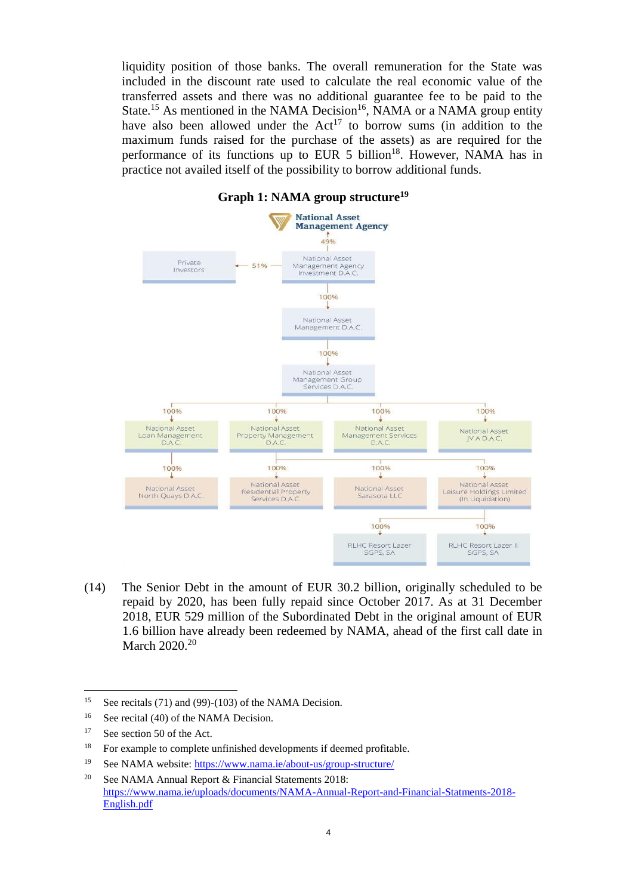liquidity position of those banks. The overall remuneration for the State was included in the discount rate used to calculate the real economic value of the transferred assets and there was no additional guarantee fee to be paid to the State.<sup>15</sup> As mentioned in the NAMA Decision<sup>16</sup>, NAMA or a NAMA group entity have also been allowed under the  $Act^{17}$  to borrow sums (in addition to the maximum funds raised for the purchase of the assets) as are required for the performance of its functions up to EUR 5 billion<sup>18</sup>. However, NAMA has in practice not availed itself of the possibility to borrow additional funds.



#### **Graph 1: NAMA group structure<sup>19</sup>**

(14) The Senior Debt in the amount of EUR 30.2 billion, originally scheduled to be repaid by 2020, has been fully repaid since October 2017. As at 31 December 2018, EUR 529 million of the Subordinated Debt in the original amount of EUR 1.6 billion have already been redeemed by NAMA, ahead of the first call date in March 2020.<sup>20</sup>

<sup>&</sup>lt;sup>15</sup> See recitals (71) and (99)-(103) of the NAMA Decision.

<sup>&</sup>lt;sup>16</sup> See recital (40) of the NAMA Decision.

<sup>&</sup>lt;sup>17</sup> See section 50 of the Act.

<sup>&</sup>lt;sup>18</sup> For example to complete unfinished developments if deemed profitable.

<sup>19</sup> See NAMA website:<https://www.nama.ie/about-us/group-structure/>

<sup>&</sup>lt;sup>20</sup> See NAMA Annual Report  $\&$  Financial Statements 2018: [https://www.nama.ie/uploads/documents/NAMA-Annual-Report-and-Financial-Statments-2018-](https://www.nama.ie/uploads/documents/NAMA-Annual-Report-and-Financial-Statments-2018-English.pdf) [English.pdf](https://www.nama.ie/uploads/documents/NAMA-Annual-Report-and-Financial-Statments-2018-English.pdf)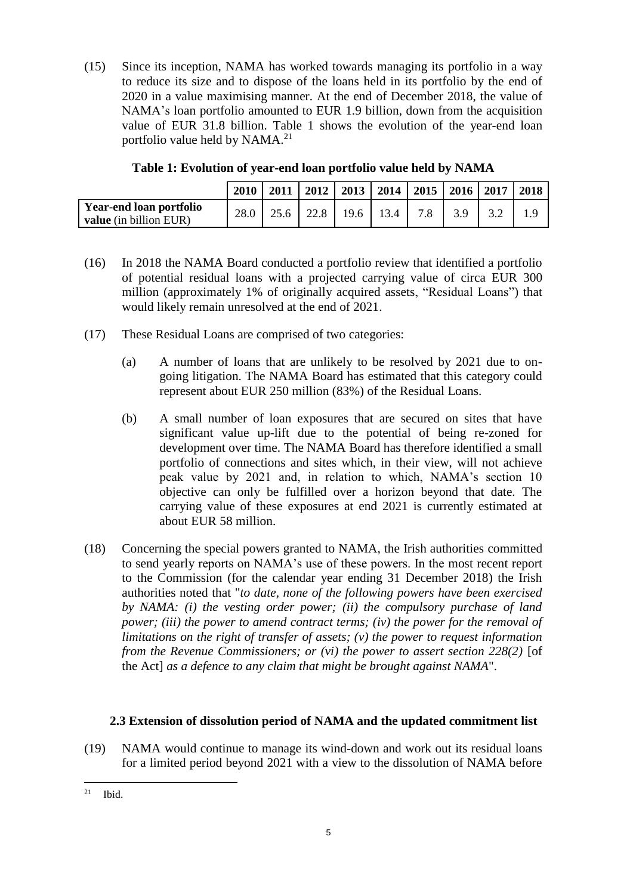(15) Since its inception, NAMA has worked towards managing its portfolio in a way to reduce its size and to dispose of the loans held in its portfolio by the end of 2020 in a value maximising manner. At the end of December 2018, the value of NAMA's loan portfolio amounted to EUR 1.9 billion, down from the acquisition value of EUR 31.8 billion. Table 1 shows the evolution of the year-end loan portfolio value held by NAMA.<sup>21</sup>

|                                | <b>2010</b> |  | 2011   2012   2013   2014   2015   2016   2017   2018 |                  |         |  |
|--------------------------------|-------------|--|-------------------------------------------------------|------------------|---------|--|
| <b>Year-end loan portfolio</b> |             |  | 25.6   22.8   19.6   13.4                             | 7.8 <sub>1</sub> | $3.9-1$ |  |
| <b>value</b> (in billion EUR)  |             |  |                                                       |                  |         |  |

**Table 1: Evolution of year-end loan portfolio value held by NAMA**

- (16) In 2018 the NAMA Board conducted a portfolio review that identified a portfolio of potential residual loans with a projected carrying value of circa EUR 300 million (approximately 1% of originally acquired assets, "Residual Loans") that would likely remain unresolved at the end of 2021.
- (17) These Residual Loans are comprised of two categories:
	- (a) A number of loans that are unlikely to be resolved by 2021 due to ongoing litigation. The NAMA Board has estimated that this category could represent about EUR 250 million (83%) of the Residual Loans.
	- (b) A small number of loan exposures that are secured on sites that have significant value up-lift due to the potential of being re-zoned for development over time. The NAMA Board has therefore identified a small portfolio of connections and sites which, in their view, will not achieve peak value by 2021 and, in relation to which, NAMA's section 10 objective can only be fulfilled over a horizon beyond that date. The carrying value of these exposures at end 2021 is currently estimated at about EUR 58 million.
- <span id="page-4-0"></span>(18) Concerning the special powers granted to NAMA, the Irish authorities committed to send yearly reports on NAMA's use of these powers. In the most recent report to the Commission (for the calendar year ending 31 December 2018) the Irish authorities noted that "*to date, none of the following powers have been exercised by NAMA: (i) the vesting order power; (ii) the compulsory purchase of land power; (iii) the power to amend contract terms; (iv) the power for the removal of limitations on the right of transfer of assets; (v) the power to request information from the Revenue Commissioners; or (vi) the power to assert section 228(2)* [of the Act] *as a defence to any claim that might be brought against NAMA*".

## **2.3 Extension of dissolution period of NAMA and the updated commitment list**

(19) NAMA would continue to manage its wind-down and work out its residual loans for a limited period beyond 2021 with a view to the dissolution of NAMA before

 $\overline{a}$  $21$  Ibid.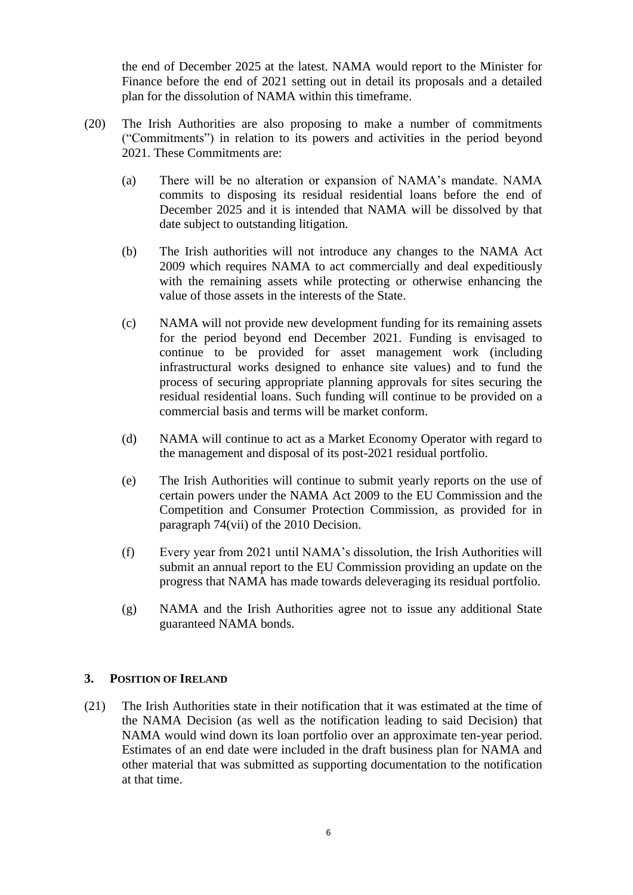the end of December 2025 at the latest. NAMA would report to the Minister for Finance before the end of 2021 setting out in detail its proposals and a detailed plan for the dissolution of NAMA within this timeframe.

- (20) The Irish Authorities are also proposing to make a number of commitments ("Commitments") in relation to its powers and activities in the period beyond 2021. These Commitments are:
	- (a) There will be no alteration or expansion of NAMA's mandate. NAMA commits to disposing its residual residential loans before the end of December 2025 and it is intended that NAMA will be dissolved by that date subject to outstanding litigation.
	- (b) The Irish authorities will not introduce any changes to the NAMA Act 2009 which requires NAMA to act commercially and deal expeditiously with the remaining assets while protecting or otherwise enhancing the value of those assets in the interests of the State.
	- (c) NAMA will not provide new development funding for its remaining assets for the period beyond end December 2021. Funding is envisaged to continue to be provided for asset management work (including infrastructural works designed to enhance site values) and to fund the process of securing appropriate planning approvals for sites securing the residual residential loans. Such funding will continue to be provided on a commercial basis and terms will be market conform.
	- (d) NAMA will continue to act as a Market Economy Operator with regard to the management and disposal of its post-2021 residual portfolio.
	- (e) The Irish Authorities will continue to submit yearly reports on the use of certain powers under the NAMA Act 2009 to the EU Commission and the Competition and Consumer Protection Commission, as provided for in paragraph 74(vii) of the 2010 Decision.
	- (f) Every year from 2021 until NAMA's dissolution, the Irish Authorities will submit an annual report to the EU Commission providing an update on the progress that NAMA has made towards deleveraging its residual portfolio.
	- (g) NAMA and the Irish Authorities agree not to issue any additional State guaranteed NAMA bonds.

### **3. POSITION OF IRELAND**

<span id="page-5-0"></span>(21) The Irish Authorities state in their notification that it was estimated at the time of the NAMA Decision (as well as the notification leading to said Decision) that NAMA would wind down its loan portfolio over an approximate ten-year period. Estimates of an end date were included in the draft business plan for NAMA and other material that was submitted as supporting documentation to the notification at that time.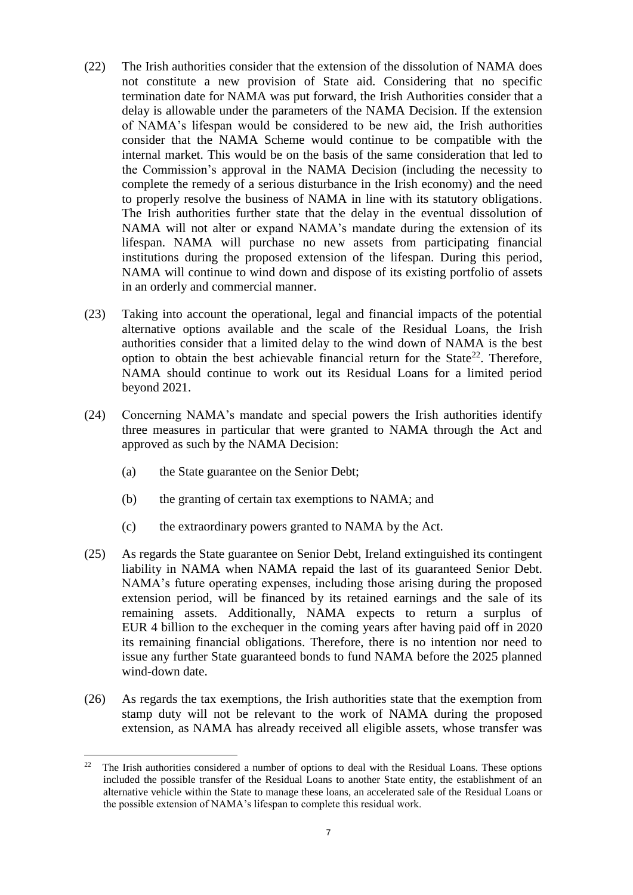- (22) The Irish authorities consider that the extension of the dissolution of NAMA does not constitute a new provision of State aid. Considering that no specific termination date for NAMA was put forward, the Irish Authorities consider that a delay is allowable under the parameters of the NAMA Decision. If the extension of NAMA's lifespan would be considered to be new aid, the Irish authorities consider that the NAMA Scheme would continue to be compatible with the internal market. This would be on the basis of the same consideration that led to the Commission's approval in the NAMA Decision (including the necessity to complete the remedy of a serious disturbance in the Irish economy) and the need to properly resolve the business of NAMA in line with its statutory obligations. The Irish authorities further state that the delay in the eventual dissolution of NAMA will not alter or expand NAMA's mandate during the extension of its lifespan. NAMA will purchase no new assets from participating financial institutions during the proposed extension of the lifespan. During this period, NAMA will continue to wind down and dispose of its existing portfolio of assets in an orderly and commercial manner.
- (23) Taking into account the operational, legal and financial impacts of the potential alternative options available and the scale of the Residual Loans, the Irish authorities consider that a limited delay to the wind down of NAMA is the best option to obtain the best achievable financial return for the State<sup>22</sup>. Therefore, NAMA should continue to work out its Residual Loans for a limited period beyond 2021.
- <span id="page-6-0"></span>(24) Concerning NAMA's mandate and special powers the Irish authorities identify three measures in particular that were granted to NAMA through the Act and approved as such by the NAMA Decision:
	- (a) the State guarantee on the Senior Debt;

- (b) the granting of certain tax exemptions to NAMA; and
- (c) the extraordinary powers granted to NAMA by the Act.
- (25) As regards the State guarantee on Senior Debt, Ireland extinguished its contingent liability in NAMA when NAMA repaid the last of its guaranteed Senior Debt. NAMA's future operating expenses, including those arising during the proposed extension period, will be financed by its retained earnings and the sale of its remaining assets. Additionally, NAMA expects to return a surplus of EUR 4 billion to the exchequer in the coming years after having paid off in 2020 its remaining financial obligations. Therefore, there is no intention nor need to issue any further State guaranteed bonds to fund NAMA before the 2025 planned wind-down date.
- (26) As regards the tax exemptions, the Irish authorities state that the exemption from stamp duty will not be relevant to the work of NAMA during the proposed extension, as NAMA has already received all eligible assets, whose transfer was

 $22$  The Irish authorities considered a number of options to deal with the Residual Loans. These options included the possible transfer of the Residual Loans to another State entity, the establishment of an alternative vehicle within the State to manage these loans, an accelerated sale of the Residual Loans or the possible extension of NAMA's lifespan to complete this residual work.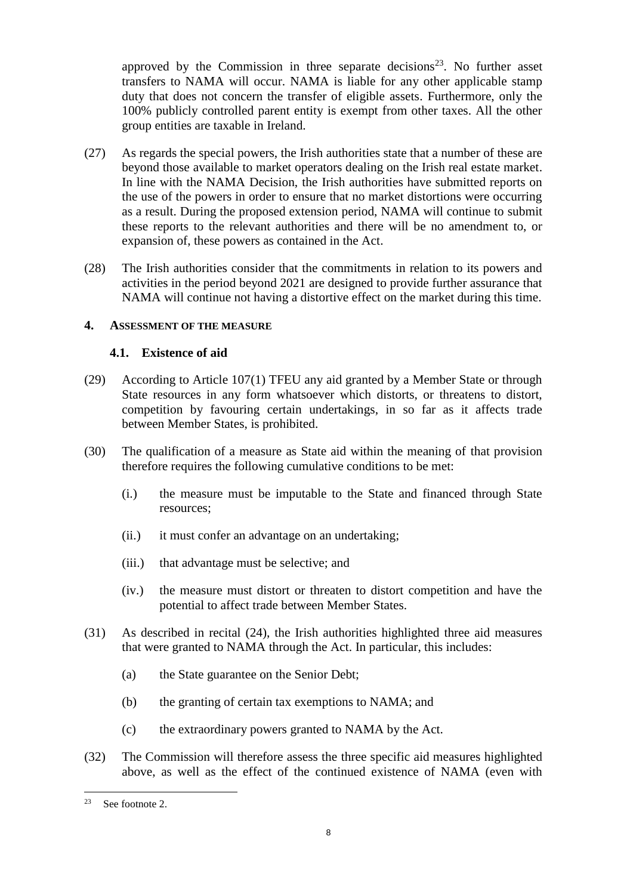approved by the Commission in three separate decisions<sup>23</sup>. No further asset transfers to NAMA will occur. NAMA is liable for any other applicable stamp duty that does not concern the transfer of eligible assets. Furthermore, only the 100% publicly controlled parent entity is exempt from other taxes. All the other group entities are taxable in Ireland.

- <span id="page-7-0"></span>(27) As regards the special powers, the Irish authorities state that a number of these are beyond those available to market operators dealing on the Irish real estate market. In line with the NAMA Decision, the Irish authorities have submitted reports on the use of the powers in order to ensure that no market distortions were occurring as a result. During the proposed extension period, NAMA will continue to submit these reports to the relevant authorities and there will be no amendment to, or expansion of, these powers as contained in the Act.
- (28) The Irish authorities consider that the commitments in relation to its powers and activities in the period beyond 2021 are designed to provide further assurance that NAMA will continue not having a distortive effect on the market during this time.

#### **4. ASSESSMENT OF THE MEASURE**

#### **4.1. Existence of aid**

- (29) According to Article 107(1) TFEU any aid granted by a Member State or through State resources in any form whatsoever which distorts, or threatens to distort, competition by favouring certain undertakings, in so far as it affects trade between Member States, is prohibited.
- (30) The qualification of a measure as State aid within the meaning of that provision therefore requires the following cumulative conditions to be met:
	- (i.) the measure must be imputable to the State and financed through State resources;
	- (ii.) it must confer an advantage on an undertaking;
	- (iii.) that advantage must be selective; and
	- (iv.) the measure must distort or threaten to distort competition and have the potential to affect trade between Member States.
- (31) As described in recital [\(24\),](#page-6-0) the Irish authorities highlighted three aid measures that were granted to NAMA through the Act. In particular, this includes:
	- (a) the State guarantee on the Senior Debt;
	- (b) the granting of certain tax exemptions to NAMA; and
	- (c) the extraordinary powers granted to NAMA by the Act.
- (32) The Commission will therefore assess the three specific aid measures highlighted above, as well as the effect of the continued existence of NAMA (even with

<sup>23</sup> See footnote 2.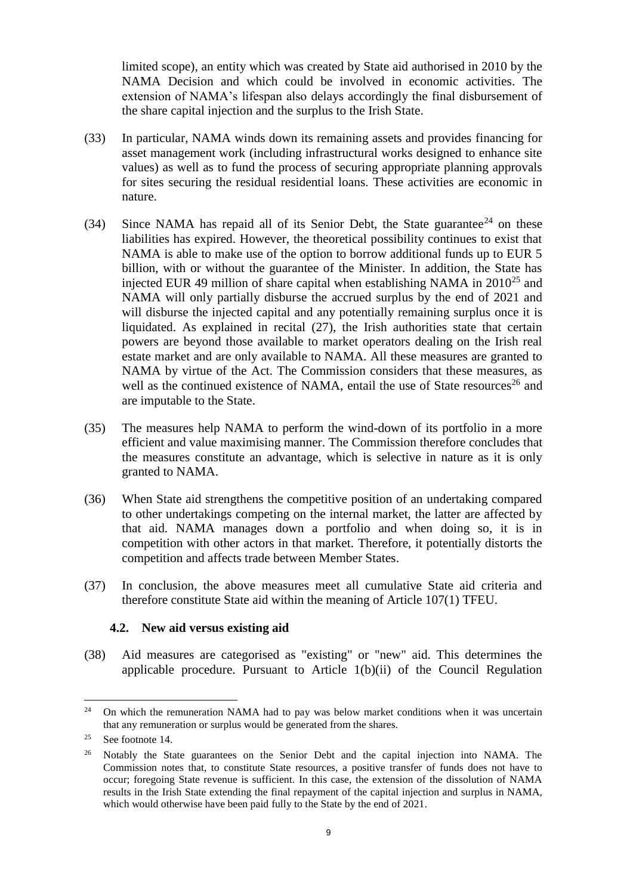limited scope), an entity which was created by State aid authorised in 2010 by the NAMA Decision and which could be involved in economic activities. The extension of NAMA's lifespan also delays accordingly the final disbursement of the share capital injection and the surplus to the Irish State.

- (33) In particular, NAMA winds down its remaining assets and provides financing for asset management work (including infrastructural works designed to enhance site values) as well as to fund the process of securing appropriate planning approvals for sites securing the residual residential loans. These activities are economic in nature.
- (34) Since NAMA has repaid all of its Senior Debt, the State guarantee<sup>24</sup> on these liabilities has expired. However, the theoretical possibility continues to exist that NAMA is able to make use of the option to borrow additional funds up to EUR 5 billion, with or without the guarantee of the Minister. In addition, the State has injected EUR 49 million of share capital when establishing NAMA in  $2010^{25}$  and NAMA will only partially disburse the accrued surplus by the end of 2021 and will disburse the injected capital and any potentially remaining surplus once it is liquidated. As explained in recital [\(27\),](#page-7-0) the Irish authorities state that certain powers are beyond those available to market operators dealing on the Irish real estate market and are only available to NAMA. All these measures are granted to NAMA by virtue of the Act. The Commission considers that these measures, as well as the continued existence of NAMA, entail the use of State resources<sup>26</sup> and are imputable to the State.
- (35) The measures help NAMA to perform the wind-down of its portfolio in a more efficient and value maximising manner. The Commission therefore concludes that the measures constitute an advantage, which is selective in nature as it is only granted to NAMA.
- (36) When State aid strengthens the competitive position of an undertaking compared to other undertakings competing on the internal market, the latter are affected by that aid. NAMA manages down a portfolio and when doing so, it is in competition with other actors in that market. Therefore, it potentially distorts the competition and affects trade between Member States.
- (37) In conclusion, the above measures meet all cumulative State aid criteria and therefore constitute State aid within the meaning of Article 107(1) TFEU.

## **4.2. New aid versus existing aid**

(38) Aid measures are categorised as "existing" or "new" aid. This determines the applicable procedure. Pursuant to Article 1(b)(ii) of the Council Regulation

<sup>&</sup>lt;sup>24</sup> On which the remuneration NAMA had to pay was below market conditions when it was uncertain that any remuneration or surplus would be generated from the shares.

<sup>&</sup>lt;sup>25</sup> See footnote [14.](#page-2-1)

<sup>&</sup>lt;sup>26</sup> Notably the State guarantees on the Senior Debt and the capital injection into NAMA. The Commission notes that, to constitute State resources, a positive transfer of funds does not have to occur; foregoing State revenue is sufficient. In this case, the extension of the dissolution of NAMA results in the Irish State extending the final repayment of the capital injection and surplus in NAMA, which would otherwise have been paid fully to the State by the end of 2021.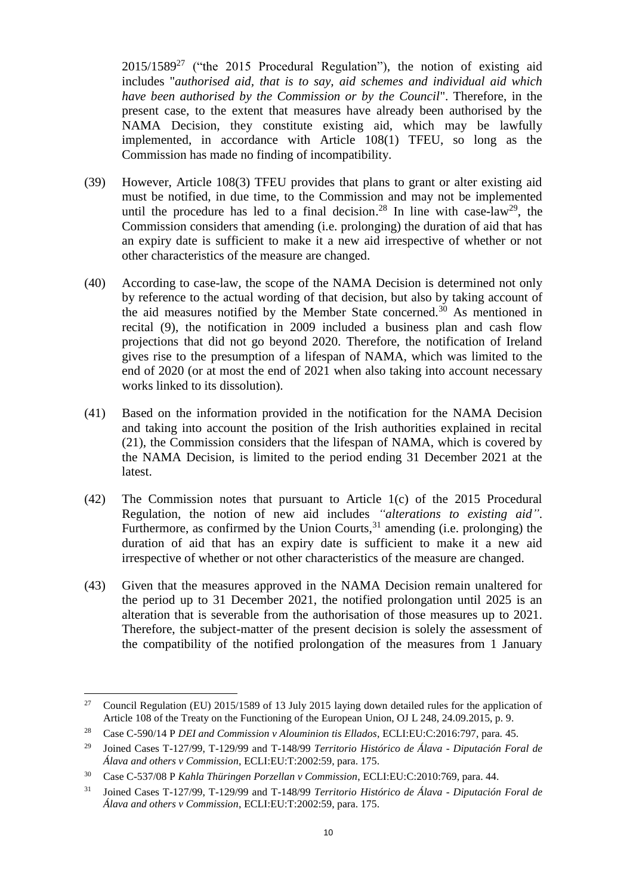$2015/1589^{27}$  ("the 2015 Procedural Regulation"), the notion of existing aid includes "*authorised aid, that is to say, aid schemes and individual aid which have been authorised by the Commission or by the Council*". Therefore, in the present case, to the extent that measures have already been authorised by the NAMA Decision, they constitute existing aid, which may be lawfully implemented, in accordance with Article 108(1) TFEU, so long as the Commission has made no finding of incompatibility.

- (39) However, Article 108(3) TFEU provides that plans to grant or alter existing aid must be notified, in due time, to the Commission and may not be implemented until the procedure has led to a final decision.<sup>28</sup> In line with case-law<sup>29</sup>, the Commission considers that amending (i.e. prolonging) the duration of aid that has an expiry date is sufficient to make it a new aid irrespective of whether or not other characteristics of the measure are changed.
- (40) According to case-law, the scope of the NAMA Decision is determined not only by reference to the actual wording of that decision, but also by taking account of the aid measures notified by the Member State concerned.<sup>30</sup> As mentioned in recital [\(9\),](#page-2-2) the notification in 2009 included a business plan and cash flow projections that did not go beyond 2020. Therefore, the notification of Ireland gives rise to the presumption of a lifespan of NAMA, which was limited to the end of 2020 (or at most the end of 2021 when also taking into account necessary works linked to its dissolution).
- (41) Based on the information provided in the notification for the NAMA Decision and taking into account the position of the Irish authorities explained in recital [\(21\),](#page-5-0) the Commission considers that the lifespan of NAMA, which is covered by the NAMA Decision, is limited to the period ending 31 December 2021 at the latest.
- (42) The Commission notes that pursuant to Article 1(c) of the 2015 Procedural Regulation, the notion of new aid includes *"alterations to existing aid"*. Furthermore, as confirmed by the Union Courts,  $31$  amending (i.e. prolonging) the duration of aid that has an expiry date is sufficient to make it a new aid irrespective of whether or not other characteristics of the measure are changed.
- (43) Given that the measures approved in the NAMA Decision remain unaltered for the period up to 31 December 2021, the notified prolongation until 2025 is an alteration that is severable from the authorisation of those measures up to 2021. Therefore, the subject-matter of the present decision is solely the assessment of the compatibility of the notified prolongation of the measures from 1 January

<sup>&</sup>lt;sup>27</sup> Council Regulation (EU) 2015/1589 of 13 July 2015 laying down detailed rules for the application of Article 108 of the Treaty on the Functioning of the European Union, OJ L 248, 24.09.2015, p. 9.

<sup>28</sup> Case C-590/14 P *DEI and Commission v Alouminion tis Ellados*, ECLI:EU:C:2016:797, para. 45.

<sup>29</sup> Joined Cases T-127/99, T-129/99 and T-148/99 *Territorio Histórico de Álava - Diputación Foral de Álava and others v Commission*, ECLI:EU:T:2002:59, para. 175.

<sup>30</sup> Case C-537/08 P *Kahla Thüringen Porzellan v Commission*, ECLI:EU:C:2010:769, para. 44.

<sup>31</sup> Joined Cases T-127/99, T-129/99 and T-148/99 *Territorio Histórico de Álava - Diputación Foral de Álava and others v Commission*, ECLI:EU:T:2002:59, para. 175.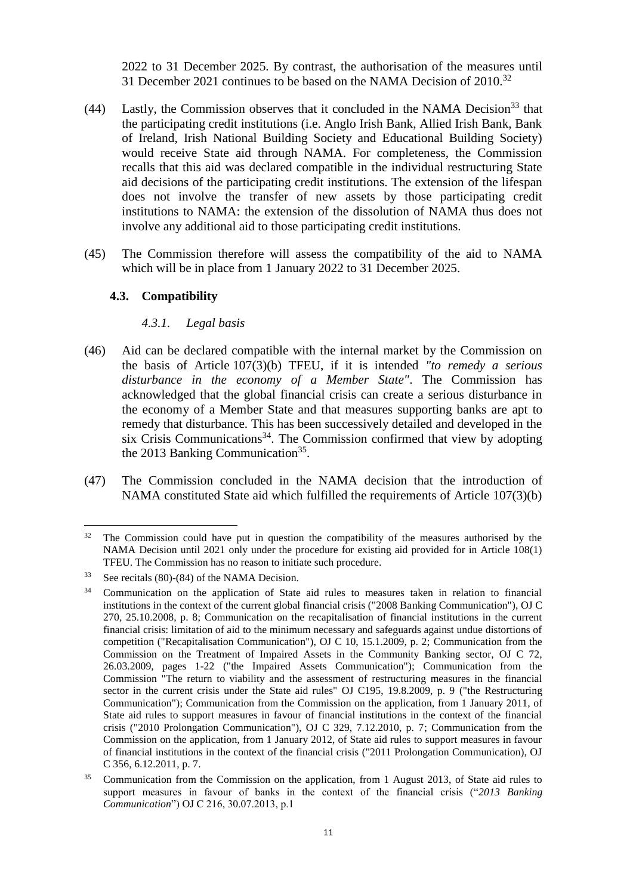2022 to 31 December 2025. By contrast, the authorisation of the measures until 31 December 2021 continues to be based on the NAMA Decision of 2010.<sup>32</sup>

- (44) Lastly, the Commission observes that it concluded in the NAMA Decision<sup>33</sup> that the participating credit institutions (i.e. Anglo Irish Bank, Allied Irish Bank, Bank of Ireland, Irish National Building Society and Educational Building Society) would receive State aid through NAMA. For completeness, the Commission recalls that this aid was declared compatible in the individual restructuring State aid decisions of the participating credit institutions. The extension of the lifespan does not involve the transfer of new assets by those participating credit institutions to NAMA: the extension of the dissolution of NAMA thus does not involve any additional aid to those participating credit institutions.
- (45) The Commission therefore will assess the compatibility of the aid to NAMA which will be in place from 1 January 2022 to 31 December 2025.

#### **4.3. Compatibility**

#### *4.3.1. Legal basis*

- (46) Aid can be declared compatible with the internal market by the Commission on the basis of Article 107(3)(b) TFEU, if it is intended *"to remedy a serious disturbance in the economy of a Member State"*. The Commission has acknowledged that the global financial crisis can create a serious disturbance in the economy of a Member State and that measures supporting banks are apt to remedy that disturbance. This has been successively detailed and developed in the six Crisis Communications<sup>34</sup>. The Commission confirmed that view by adopting the 2013 Banking Communication<sup>35</sup>.
- (47) The Commission concluded in the NAMA decision that the introduction of NAMA constituted State aid which fulfilled the requirements of Article 107(3)(b)

<sup>&</sup>lt;sup>32</sup> The Commission could have put in question the compatibility of the measures authorised by the NAMA Decision until 2021 only under the procedure for existing aid provided for in Article 108(1) TFEU. The Commission has no reason to initiate such procedure.

<sup>33</sup> See recitals (80)-(84) of the NAMA Decision.

<sup>&</sup>lt;sup>34</sup> Communication on the application of State aid rules to measures taken in relation to financial institutions in the context of the current global financial crisis ("2008 Banking Communication"), OJ C 270, 25.10.2008, p. 8; Communication on the recapitalisation of financial institutions in the current financial crisis: limitation of aid to the minimum necessary and safeguards against undue distortions of competition ("Recapitalisation Communication"), OJ C 10, 15.1.2009, p. 2; Communication from the Commission on the Treatment of Impaired Assets in the Community Banking sector, OJ C 72, 26.03.2009, pages 1-22 ("the Impaired Assets Communication"); Communication from the Commission "The return to viability and the assessment of restructuring measures in the financial sector in the current crisis under the State aid rules" OJ C195, 19.8.2009, p. 9 ("the Restructuring Communication"); Communication from the Commission on the application, from 1 January 2011, of State aid rules to support measures in favour of financial institutions in the context of the financial crisis ("2010 Prolongation Communication"), OJ C 329, 7.12.2010, p. 7; Communication from the Commission on the application, from 1 January 2012, of State aid rules to support measures in favour of financial institutions in the context of the financial crisis ("2011 Prolongation Communication), OJ C 356, 6.12.2011, p. 7.

<sup>&</sup>lt;sup>35</sup> Communication from the Commission on the application, from 1 August 2013, of State aid rules to support measures in favour of banks in the context of the financial crisis ("*2013 Banking Communication*") OJ C 216, 30.07.2013, p.1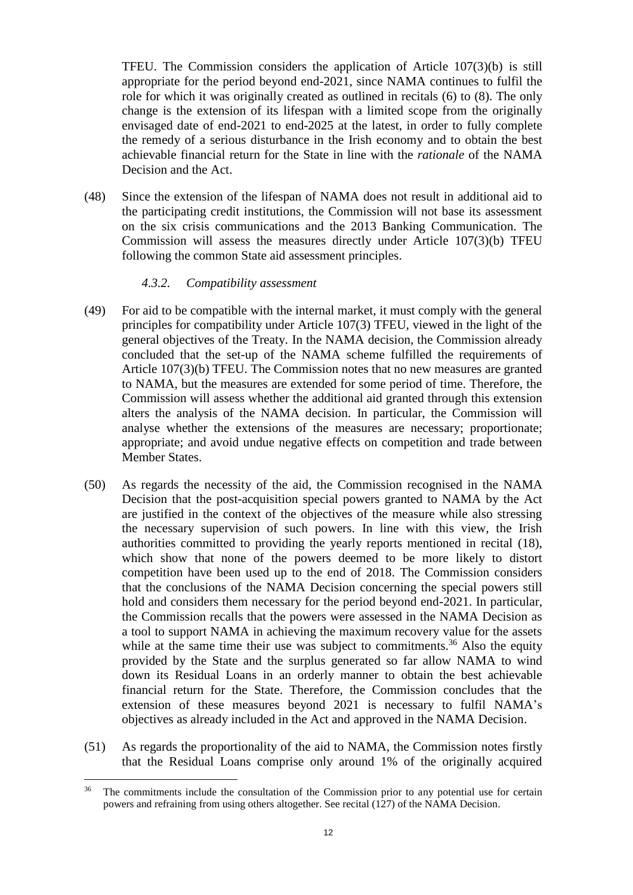TFEU. The Commission considers the application of Article 107(3)(b) is still appropriate for the period beyond end-2021, since NAMA continues to fulfil the role for which it was originally created as outlined in recitals [\(6\)](#page-1-0) to [\(8\).](#page-1-1) The only change is the extension of its lifespan with a limited scope from the originally envisaged date of end-2021 to end-2025 at the latest, in order to fully complete the remedy of a serious disturbance in the Irish economy and to obtain the best achievable financial return for the State in line with the *rationale* of the NAMA Decision and the Act.

(48) Since the extension of the lifespan of NAMA does not result in additional aid to the participating credit institutions, the Commission will not base its assessment on the six crisis communications and the 2013 Banking Communication. The Commission will assess the measures directly under Article 107(3)(b) TFEU following the common State aid assessment principles.

### *4.3.2. Compatibility assessment*

- (49) For aid to be compatible with the internal market, it must comply with the general principles for compatibility under Article 107(3) TFEU, viewed in the light of the general objectives of the Treaty. In the NAMA decision, the Commission already concluded that the set-up of the NAMA scheme fulfilled the requirements of Article 107(3)(b) TFEU. The Commission notes that no new measures are granted to NAMA, but the measures are extended for some period of time. Therefore, the Commission will assess whether the additional aid granted through this extension alters the analysis of the NAMA decision. In particular, the Commission will analyse whether the extensions of the measures are necessary; proportionate; appropriate; and avoid undue negative effects on competition and trade between Member States.
- (50) As regards the necessity of the aid, the Commission recognised in the NAMA Decision that the post-acquisition special powers granted to NAMA by the Act are justified in the context of the objectives of the measure while also stressing the necessary supervision of such powers. In line with this view, the Irish authorities committed to providing the yearly reports mentioned in recital [\(18\),](#page-4-0) which show that none of the powers deemed to be more likely to distort competition have been used up to the end of 2018. The Commission considers that the conclusions of the NAMA Decision concerning the special powers still hold and considers them necessary for the period beyond end-2021. In particular, the Commission recalls that the powers were assessed in the NAMA Decision as a tool to support NAMA in achieving the maximum recovery value for the assets while at the same time their use was subject to commitments.<sup>36</sup> Also the equity provided by the State and the surplus generated so far allow NAMA to wind down its Residual Loans in an orderly manner to obtain the best achievable financial return for the State. Therefore, the Commission concludes that the extension of these measures beyond 2021 is necessary to fulfil NAMA's objectives as already included in the Act and approved in the NAMA Decision.
- (51) As regards the proportionality of the aid to NAMA, the Commission notes firstly that the Residual Loans comprise only around 1% of the originally acquired

 $\overline{a}$ <sup>36</sup> The commitments include the consultation of the Commission prior to any potential use for certain powers and refraining from using others altogether. See recital (127) of the NAMA Decision.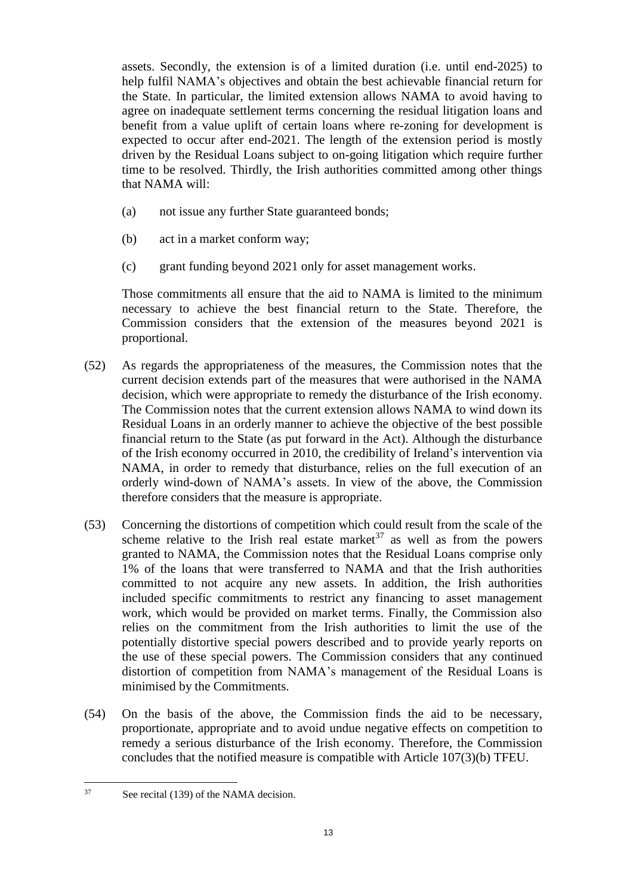assets. Secondly, the extension is of a limited duration (i.e. until end-2025) to help fulfil NAMA's objectives and obtain the best achievable financial return for the State. In particular, the limited extension allows NAMA to avoid having to agree on inadequate settlement terms concerning the residual litigation loans and benefit from a value uplift of certain loans where re-zoning for development is expected to occur after end-2021. The length of the extension period is mostly driven by the Residual Loans subject to on-going litigation which require further time to be resolved. Thirdly, the Irish authorities committed among other things that NAMA will:

- (a) not issue any further State guaranteed bonds;
- (b) act in a market conform way;
- (c) grant funding beyond 2021 only for asset management works.

Those commitments all ensure that the aid to NAMA is limited to the minimum necessary to achieve the best financial return to the State. Therefore, the Commission considers that the extension of the measures beyond 2021 is proportional.

- (52) As regards the appropriateness of the measures, the Commission notes that the current decision extends part of the measures that were authorised in the NAMA decision, which were appropriate to remedy the disturbance of the Irish economy. The Commission notes that the current extension allows NAMA to wind down its Residual Loans in an orderly manner to achieve the objective of the best possible financial return to the State (as put forward in the Act). Although the disturbance of the Irish economy occurred in 2010, the credibility of Ireland's intervention via NAMA, in order to remedy that disturbance, relies on the full execution of an orderly wind-down of NAMA's assets. In view of the above, the Commission therefore considers that the measure is appropriate.
- (53) Concerning the distortions of competition which could result from the scale of the scheme relative to the Irish real estate market<sup>37</sup> as well as from the powers granted to NAMA, the Commission notes that the Residual Loans comprise only 1% of the loans that were transferred to NAMA and that the Irish authorities committed to not acquire any new assets. In addition, the Irish authorities included specific commitments to restrict any financing to asset management work, which would be provided on market terms. Finally, the Commission also relies on the commitment from the Irish authorities to limit the use of the potentially distortive special powers described and to provide yearly reports on the use of these special powers. The Commission considers that any continued distortion of competition from NAMA's management of the Residual Loans is minimised by the Commitments.
- (54) On the basis of the above, the Commission finds the aid to be necessary, proportionate, appropriate and to avoid undue negative effects on competition to remedy a serious disturbance of the Irish economy. Therefore, the Commission concludes that the notified measure is compatible with Article 107(3)(b) TFEU.

 $37$ See recital (139) of the NAMA decision.